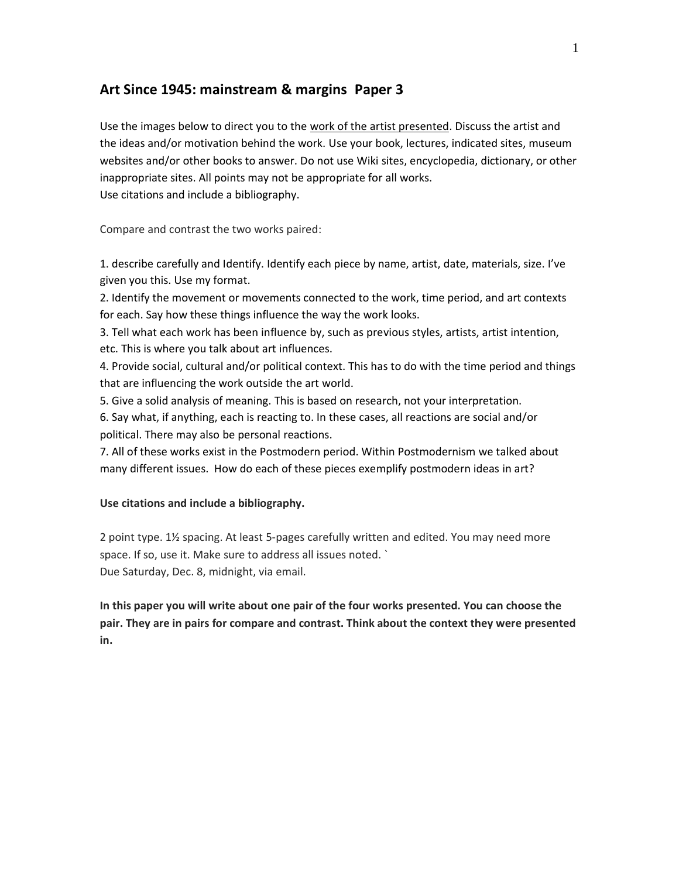# **Art Since 1945: mainstream & margins Paper 3**

Use the images below to direct you to the work of the artist presented. Discuss the artist and the ideas and/or motivation behind the work. Use your book, lectures, indicated sites, museum websites and/or other books to answer. Do not use Wiki sites, encyclopedia, dictionary, or other inappropriate sites. All points may not be appropriate for all works. Use citations and include a bibliography.

Compare and contrast the two works paired:

1. describe carefully and Identify. Identify each piece by name, artist, date, materials, size. I've given you this. Use my format.

2. Identify the movement or movements connected to the work, time period, and art contexts for each. Say how these things influence the way the work looks.

3. Tell what each work has been influence by, such as previous styles, artists, artist intention, etc. This is where you talk about art influences.

4. Provide social, cultural and/or political context. This has to do with the time period and things that are influencing the work outside the art world.

5. Give a solid analysis of meaning. This is based on research, not your interpretation.

6. Say what, if anything, each is reacting to. In these cases, all reactions are social and/or political. There may also be personal reactions.

7. All of these works exist in the Postmodern period. Within Postmodernism we talked about many different issues. How do each of these pieces exemplify postmodern ideas in art?

### **Use citations and include a bibliography.**

2 point type. 1½ spacing. At least 5-pages carefully written and edited. You may need more space. If so, use it. Make sure to address all issues noted. ` Due Saturday, Dec. 8, midnight, via email.

**In this paper you will write about one pair of the four works presented. You can choose the pair. They are in pairs for compare and contrast. Think about the context they were presented in.**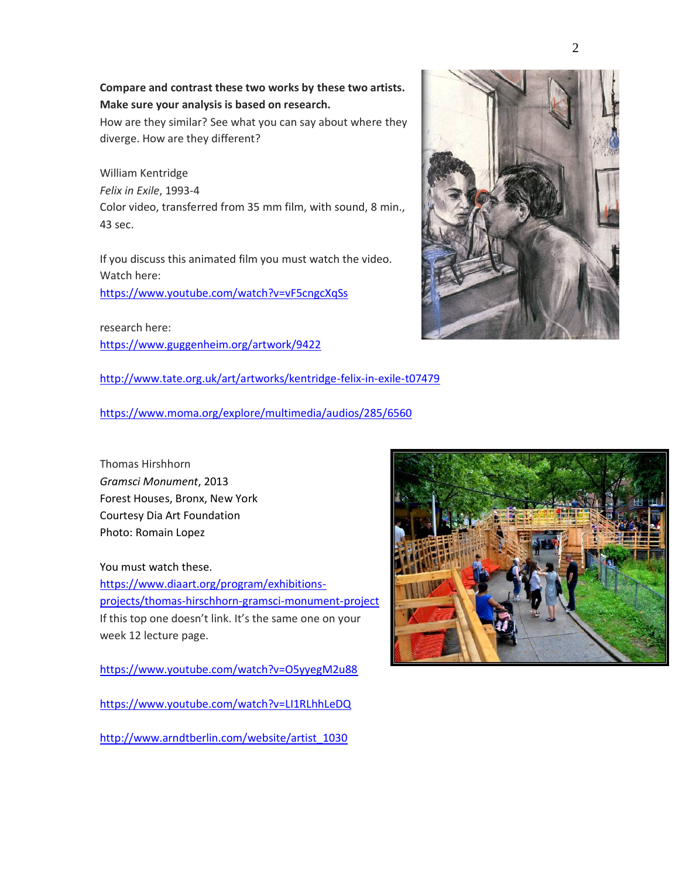### **Compare and contrast these two works by these two artists. Make sure your analysis is based on research.**

How are they similar? See what you can say about where they diverge. How are they different?

William Kentridge *Felix in Exile*, 1993-4 Color video, transferred from 35 mm film, with sound, 8 min., 43 sec.

If you discuss this animated film you must watch the video. Watch here:

<https://www.youtube.com/watch?v=vF5cngcXqSs>

research here: <https://www.guggenheim.org/artwork/9422>

<http://www.tate.org.uk/art/artworks/kentridge-felix-in-exile-t07479>

<https://www.moma.org/explore/multimedia/audios/285/6560>

Thomas Hirshhorn *Gramsci Monument*, 2013 Forest Houses, Bronx, New York Courtesy Dia Art Foundation Photo: Romain Lopez

You must watch these. [https://www.diaart.org/program/exhibitions](https://www.diaart.org/program/exhibitions-projects/thomas-hirschhorn-gramsci-monument-project)[projects/thomas-hirschhorn-gramsci-monument-project](https://www.diaart.org/program/exhibitions-projects/thomas-hirschhorn-gramsci-monument-project) If this top one doesn't link. It's the same one on your week 12 lecture page.

<https://www.youtube.com/watch?v=O5yyegM2u88>

<https://www.youtube.com/watch?v=LI1RLhhLeDQ>

[http://www.arndtberlin.com/website/artist\\_1030](http://www.arndtberlin.com/website/artist_1030)